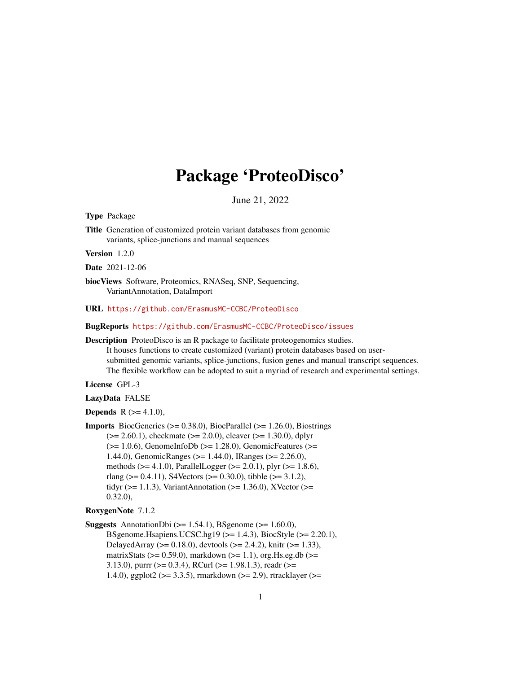# Package 'ProteoDisco'

June 21, 2022

<span id="page-0-0"></span>Type Package

Title Generation of customized protein variant databases from genomic variants, splice-junctions and manual sequences

Version 1.2.0

Date 2021-12-06

biocViews Software, Proteomics, RNASeq, SNP, Sequencing, VariantAnnotation, DataImport

#### URL <https://github.com/ErasmusMC-CCBC/ProteoDisco>

#### BugReports <https://github.com/ErasmusMC-CCBC/ProteoDisco/issues>

Description ProteoDisco is an R package to facilitate proteogenomics studies. It houses functions to create customized (variant) protein databases based on usersubmitted genomic variants, splice-junctions, fusion genes and manual transcript sequences. The flexible workflow can be adopted to suit a myriad of research and experimental settings.

# License GPL-3

#### LazyData FALSE

**Depends** R  $(>= 4.1.0)$ ,

**Imports** BiocGenerics ( $>= 0.38.0$ ), BiocParallel ( $>= 1.26.0$ ), Biostrings  $(>= 2.60.1)$ , checkmate  $(>= 2.0.0)$ , cleaver  $(>= 1.30.0)$ , dplyr  $(>= 1.0.6)$ , GenomeInfoDb  $(>= 1.28.0)$ , GenomicFeatures  $(>= 1.28.0)$ 1.44.0), GenomicRanges (>= 1.44.0), IRanges (>= 2.26.0), methods ( $>= 4.1.0$ ), ParallelLogger ( $>= 2.0.1$ ), plyr ( $>= 1.8.6$ ), rlang ( $> = 0.4.11$ ), S4Vectors ( $> = 0.30.0$ ), tibble ( $> = 3.1.2$ ), tidyr ( $>= 1.1.3$ ), VariantAnnotation ( $>= 1.36.0$ ), XVector ( $>=$ 0.32.0),

#### RoxygenNote 7.1.2

**Suggests** AnnotationDbi  $(>= 1.54.1)$ , BSgenome  $(>= 1.60.0)$ , BSgenome.Hsapiens.UCSC.hg19 ( $>= 1.4.3$ ), BiocStyle ( $>= 2.20.1$ ), DelayedArray ( $>= 0.18.0$ ), devtools ( $>= 2.4.2$ ), knitr ( $>= 1.33$ ), matrixStats ( $>= 0.59.0$ ), markdown ( $>= 1.1$ ), org.Hs.eg.db ( $>=$ 3.13.0), purrr ( $>= 0.3.4$ ), RCurl ( $>= 1.98.1.3$ ), readr ( $>= 1.98.1.3$ 1.4.0), ggplot2 (>= 3.3.5), rmarkdown (>= 2.9), rtracklayer (>=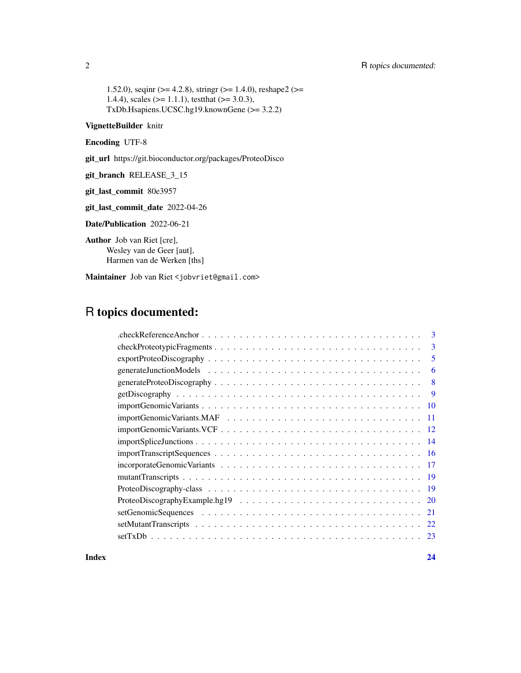1.52.0), seqinr ( $>= 4.2.8$ ), stringr ( $>= 1.4.0$ ), reshape2 ( $>=$ 1.4.4), scales ( $>= 1.1.1$ ), test that ( $>= 3.0.3$ ), TxDb.Hsapiens.UCSC.hg19.knownGene (>= 3.2.2)

# VignetteBuilder knitr

Encoding UTF-8

git\_url https://git.bioconductor.org/packages/ProteoDisco

git\_branch RELEASE\_3\_15

git\_last\_commit 80e3957

git\_last\_commit\_date 2022-04-26

Date/Publication 2022-06-21

Author Job van Riet [cre], Wesley van de Geer [aut], Harmen van de Werken [ths]

Maintainer Job van Riet <jobvriet@gmail.com>

# R topics documented:

|     | 3 |
|-----|---|
|     | 3 |
|     | 5 |
|     | 6 |
|     | 8 |
|     | 9 |
| -10 |   |
| -11 |   |
|     |   |
|     |   |
|     |   |
|     |   |
|     |   |
|     |   |
| -20 |   |
| 21  |   |
|     |   |
|     |   |
|     |   |

**Index** [24](#page-23-0)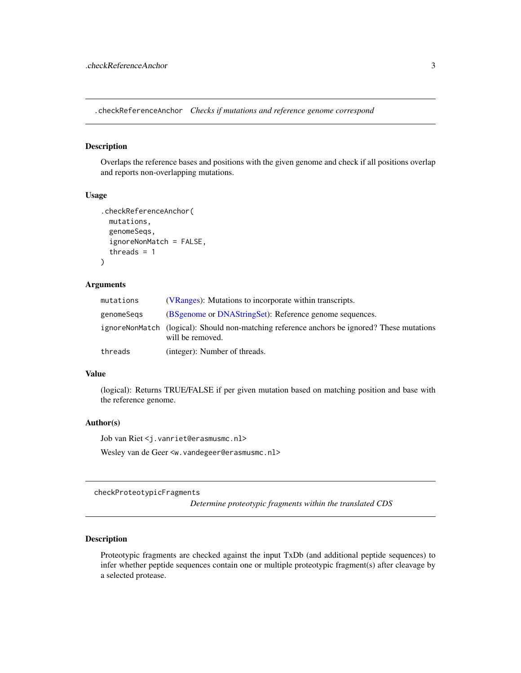<span id="page-2-0"></span>.checkReferenceAnchor *Checks if mutations and reference genome correspond*

# Description

Overlaps the reference bases and positions with the given genome and check if all positions overlap and reports non-overlapping mutations.

# Usage

```
.checkReferenceAnchor(
 mutations,
 genomeSeqs,
  ignoreNonMatch = FALSE,
  threads = 1)
```
#### Arguments

| mutations  | (VRanges): Mutations to incorporate within transcripts.                                                         |
|------------|-----------------------------------------------------------------------------------------------------------------|
| genomeSeqs | (BSgenome or DNAStringSet): Reference genome sequences.                                                         |
|            | ignoreNonMatch (logical): Should non-matching reference anchors be ignored? These mutations<br>will be removed. |
| threads    | (integer): Number of threads.                                                                                   |

# Value

(logical): Returns TRUE/FALSE if per given mutation based on matching position and base with the reference genome.

#### Author(s)

Job van Riet <j.vanriet@erasmusmc.nl>

Wesley van de Geer <w.vandegeer@erasmusmc.nl>

checkProteotypicFragments

*Determine proteotypic fragments within the translated CDS*

# Description

Proteotypic fragments are checked against the input TxDb (and additional peptide sequences) to infer whether peptide sequences contain one or multiple proteotypic fragment(s) after cleavage by a selected protease.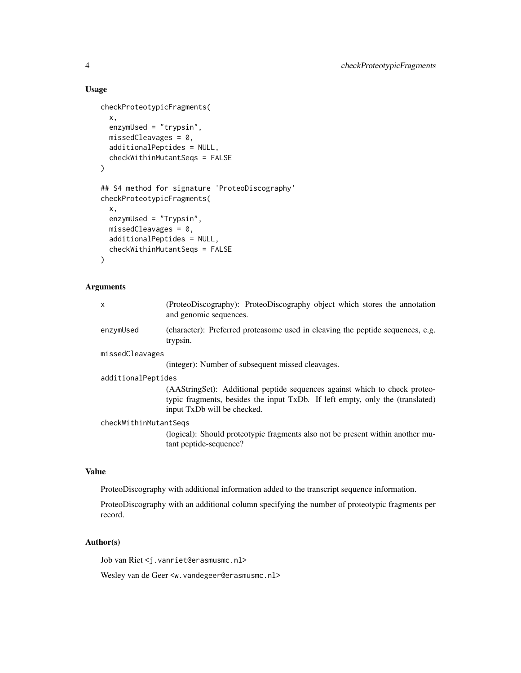# Usage

```
checkProteotypicFragments(
  x,
  enzymUsed = "trypsin",
 missedCleavages = 0,
  additionalPeptides = NULL,
  checkWithinMutantSeqs = FALSE
)
## S4 method for signature 'ProteoDiscography'
checkProteotypicFragments(
  x,
  enzymUsed = "Trypsin",
 missedCleavages = 0,
  additionalPeptides = NULL,
  checkWithinMutantSeqs = FALSE
)
```
# Arguments

| $\mathsf{x}$          | (ProteoDiscography): ProteoDiscography object which stores the annotation<br>and genomic sequences.                                                                                        |  |
|-----------------------|--------------------------------------------------------------------------------------------------------------------------------------------------------------------------------------------|--|
| enzymUsed             | (character): Preferred proteasome used in cleaving the peptide sequences, e.g.<br>trypsin.                                                                                                 |  |
| missedCleavages       |                                                                                                                                                                                            |  |
|                       | (integer): Number of subsequent missed cleavages.                                                                                                                                          |  |
| additionalPeptides    |                                                                                                                                                                                            |  |
|                       | (AAStringSet): Additional peptide sequences against which to check proteo-<br>typic fragments, besides the input TxDb. If left empty, only the (translated)<br>input TxDb will be checked. |  |
| checkWithinMutantSegs |                                                                                                                                                                                            |  |
|                       |                                                                                                                                                                                            |  |

(logical): Should proteotypic fragments also not be present within another mutant peptide-sequence?

# Value

ProteoDiscography with additional information added to the transcript sequence information.

ProteoDiscography with an additional column specifying the number of proteotypic fragments per record.

# Author(s)

Job van Riet <j.vanriet@erasmusmc.nl>

Wesley van de Geer <w.vandegeer@erasmusmc.nl>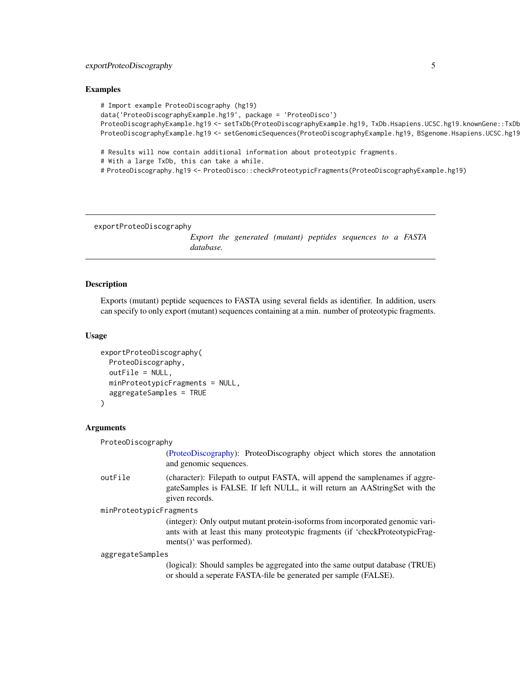# <span id="page-4-0"></span>Examples

```
# Import example ProteoDiscography (hg19)
data('ProteoDiscographyExample.hg19', package = 'ProteoDisco')
ProteoDiscographyExample.hg19 <- setTxDb(ProteoDiscographyExample.hg19, TxDb.Hsapiens.UCSC.hg19.knownGene::TxDb
ProteoDiscographyExample.hg19 <- setGenomicSequences(ProteoDiscographyExample.hg19, BSgenome.Hsapiens.UCSC.hg19
# Results will now contain additional information about proteotypic fragments.
# With a large TxDb, this can take a while.
```
# ProteoDiscography.hg19 <- ProteoDisco::checkProteotypicFragments(ProteoDiscographyExample.hg19)

```
exportProteoDiscography
```
*Export the generated (mutant) peptides sequences to a FASTA database.*

# Description

Exports (mutant) peptide sequences to FASTA using several fields as identifier. In addition, users can specify to only export (mutant) sequences containing at a min. number of proteotypic fragments.

#### Usage

```
exportProteoDiscography(
  ProteoDiscography,
  outFile = NULL,
 minProteotypicFragments = NULL,
  aggregateSamples = TRUE
)
```
#### Arguments

ProteoDiscography

[\(ProteoDiscography\)](#page-0-0): ProteoDiscography object which stores the annotation and genomic sequences.

outFile (character): Filepath to output FASTA, will append the samplenames if aggregateSamples is FALSE. If left NULL, it will return an AAStringSet with the given records.

```
minProteotypicFragments
```
(integer): Only output mutant protein-isoforms from incorporated genomic variants with at least this many proteotypic fragments (if 'checkProteotypicFragments()' was performed).

aggregateSamples

(logical): Should samples be aggregated into the same output database (TRUE) or should a seperate FASTA-file be generated per sample (FALSE).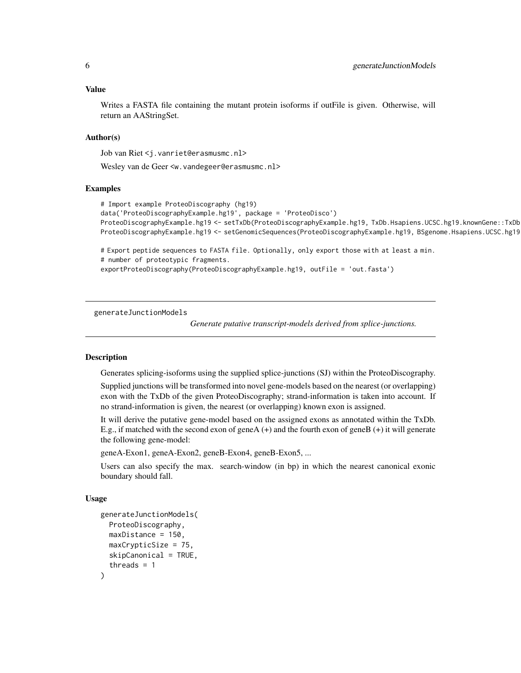#### <span id="page-5-0"></span>Value

Writes a FASTA file containing the mutant protein isoforms if outFile is given. Otherwise, will return an AAStringSet.

#### Author(s)

Job van Riet <j.vanriet@erasmusmc.nl>

Wesley van de Geer <w.vandegeer@erasmusmc.nl>

#### Examples

```
# Import example ProteoDiscography (hg19)
data('ProteoDiscographyExample.hg19', package = 'ProteoDisco')
ProteoDiscographyExample.hg19 <- setTxDb(ProteoDiscographyExample.hg19, TxDb.Hsapiens.UCSC.hg19.knownGene::TxDb.Hsapiens.UCSC.hg19.knownGene)
ProteoDiscographyExample.hg19 <- setGenomicSequences(ProteoDiscographyExample.hg19, BSgenome.Hsapiens.UCSC.hg19
```
# Export peptide sequences to FASTA file. Optionally, only export those with at least a min. # number of proteotypic fragments.

exportProteoDiscography(ProteoDiscographyExample.hg19, outFile = 'out.fasta')

generateJunctionModels

*Generate putative transcript-models derived from splice-junctions.*

#### Description

Generates splicing-isoforms using the supplied splice-junctions (SJ) within the ProteoDiscography.

Supplied junctions will be transformed into novel gene-models based on the nearest (or overlapping) exon with the TxDb of the given ProteoDiscography; strand-information is taken into account. If no strand-information is given, the nearest (or overlapping) known exon is assigned.

It will derive the putative gene-model based on the assigned exons as annotated within the TxDb. E.g., if matched with the second exon of geneA (+) and the fourth exon of geneB (+) it will generate the following gene-model:

geneA-Exon1, geneA-Exon2, geneB-Exon4, geneB-Exon5, ...

Users can also specify the max. search-window (in bp) in which the nearest canonical exonic boundary should fall.

#### Usage

```
generateJunctionModels(
 ProteoDiscography,
 maxDistance = 150,
 maxCrypticSize = 75,
  skipCanonical = TRUE,
  threads = 1)
```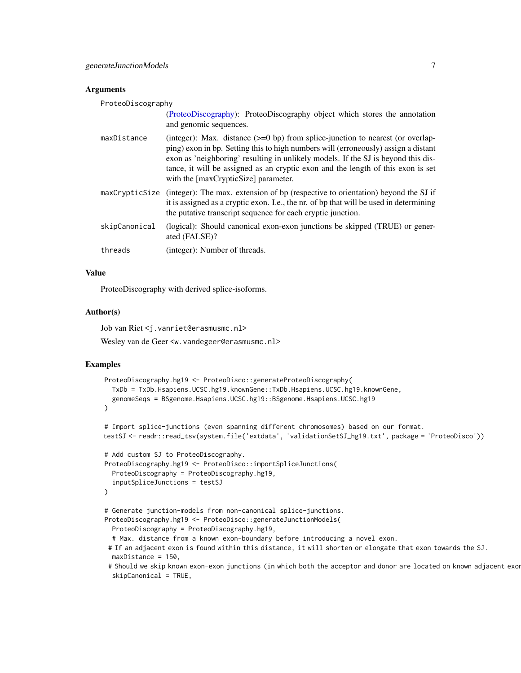#### <span id="page-6-0"></span>Arguments

ProteoDiscography

|               | (ProteoDiscography): ProteoDiscography object which stores the annotation<br>and genomic sequences.                                                                                                                                                                                                                                                                                     |
|---------------|-----------------------------------------------------------------------------------------------------------------------------------------------------------------------------------------------------------------------------------------------------------------------------------------------------------------------------------------------------------------------------------------|
| maxDistance   | (integer): Max. distance $(>=0$ bp) from splice-junction to nearest (or overlap-<br>ping) exon in bp. Setting this to high numbers will (erroneously) assign a distant<br>exon as 'neighboring' resulting in unlikely models. If the SJ is beyond this dis-<br>tance, it will be assigned as an cryptic exon and the length of this exon is set<br>with the [maxCrypticSize] parameter. |
|               | maxCrypticSize (integer): The max. extension of bp (respective to orientation) beyond the SJ if<br>it is assigned as a cryptic exon. I.e., the nr. of bp that will be used in determining<br>the putative transcript sequence for each cryptic junction.                                                                                                                                |
| skipCanonical | (logical): Should canonical exon-exon junctions be skipped (TRUE) or gener-<br>ated (FALSE)?                                                                                                                                                                                                                                                                                            |
| threads       | (integer): Number of threads.                                                                                                                                                                                                                                                                                                                                                           |

#### Value

ProteoDiscography with derived splice-isoforms.

# Author(s)

Job van Riet <j.vanriet@erasmusmc.nl>

Wesley van de Geer <w. vandegeer@erasmusmc.nl>

```
ProteoDiscography.hg19 <- ProteoDisco::generateProteoDiscography(
  TxDb = TxDb.Hsapiens.UCSC.hg19.knownGene::TxDb.Hsapiens.UCSC.hg19.knownGene,
  genomeSeqs = BSgenome.Hsapiens.UCSC.hg19::BSgenome.Hsapiens.UCSC.hg19
)
# Import splice-junctions (even spanning different chromosomes) based on our format.
testSJ <- readr::read_tsv(system.file('extdata', 'validationSetSJ_hg19.txt', package = 'ProteoDisco'))
# Add custom SJ to ProteoDiscography.
ProteoDiscography.hg19 <- ProteoDisco::importSpliceJunctions(
  ProteoDiscography = ProteoDiscography.hg19,
  inputSpliceJunctions = testSJ
)
# Generate junction-models from non-canonical splice-junctions.
ProteoDiscography.hg19 <- ProteoDisco::generateJunctionModels(
  ProteoDiscography = ProteoDiscography.hg19,
  # Max. distance from a known exon-boundary before introducing a novel exon.
 # If an adjacent exon is found within this distance, it will shorten or elongate that exon towards the SJ.
  maxDistance = 150,
 # Should we skip known exon-exon junctions (in which both the acceptor and donor are located on known adjacent exon
  skipCanonical = TRUE,
```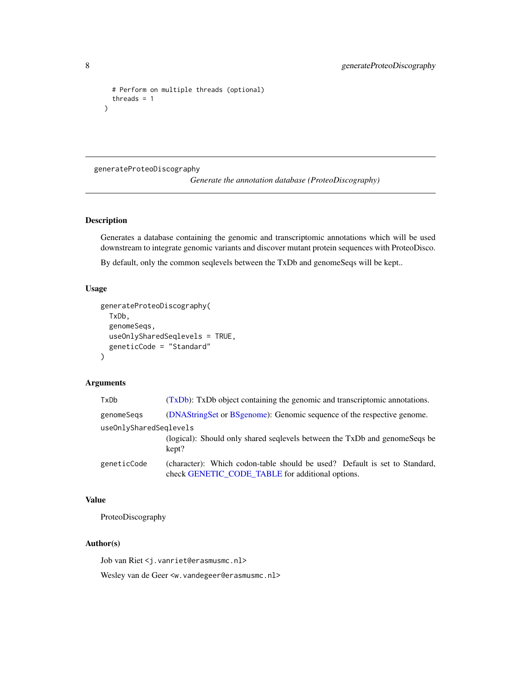```
# Perform on multiple threads (optional)
  threads = 1
)
```
generateProteoDiscography

*Generate the annotation database (ProteoDiscography)*

# Description

Generates a database containing the genomic and transcriptomic annotations which will be used downstream to integrate genomic variants and discover mutant protein sequences with ProteoDisco.

By default, only the common seqlevels between the TxDb and genomeSeqs will be kept..

# Usage

```
generateProteoDiscography(
  TxDb,
  genomeSeqs,
 useOnlySharedSeqlevels = TRUE,
  geneticCode = "Standard"
\lambda
```
# Arguments

| TxDb                   | (TxDb): TxDb object containing the genomic and transcriptomic annotations.                                                     |
|------------------------|--------------------------------------------------------------------------------------------------------------------------------|
| genomeSegs             | (DNAStringSet or BSgenome): Genomic sequence of the respective genome.                                                         |
| useOnlySharedSeglevels |                                                                                                                                |
|                        | (logical): Should only shared seqlevels between the TxDb and genomeSeqs be<br>kept?                                            |
| geneticCode            | (character): Which codon-table should be used? Default is set to Standard,<br>check GENETIC_CODE_TABLE for additional options. |

# Value

ProteoDiscography

# Author(s)

Job van Riet <j.vanriet@erasmusmc.nl>

Wesley van de Geer <w.vandegeer@erasmusmc.nl>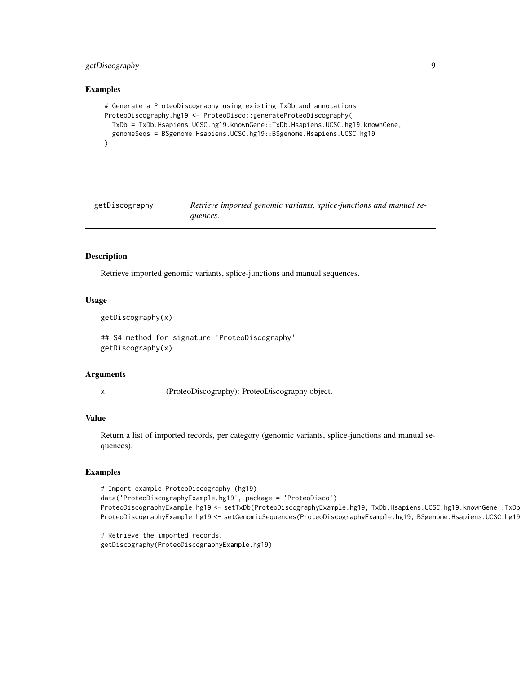# <span id="page-8-0"></span>getDiscography 9

#### Examples

```
# Generate a ProteoDiscography using existing TxDb and annotations.
ProteoDiscography.hg19 <- ProteoDisco::generateProteoDiscography(
  TxDb = TxDb.Hsapiens.UCSC.hg19.knownGene::TxDb.Hsapiens.UCSC.hg19.knownGene,
  genomeSeqs = BSgenome.Hsapiens.UCSC.hg19::BSgenome.Hsapiens.UCSC.hg19
)
```
getDiscography *Retrieve imported genomic variants, splice-junctions and manual sequences.*

# Description

Retrieve imported genomic variants, splice-junctions and manual sequences.

# Usage

```
getDiscography(x)
```
## S4 method for signature 'ProteoDiscography' getDiscography(x)

#### Arguments

x (ProteoDiscography): ProteoDiscography object.

# Value

Return a list of imported records, per category (genomic variants, splice-junctions and manual sequences).

```
# Import example ProteoDiscography (hg19)
data('ProteoDiscographyExample.hg19', package = 'ProteoDisco')
ProteoDiscographyExample.hg19 <- setTxDb(ProteoDiscographyExample.hg19, TxDb.Hsapiens.UCSC.hg19.knownGene::TxDb
ProteoDiscographyExample.hg19 <- setGenomicSequences(ProteoDiscographyExample.hg19, BSgenome.Hsapiens.UCSC.hg19
```

```
# Retrieve the imported records.
getDiscography(ProteoDiscographyExample.hg19)
```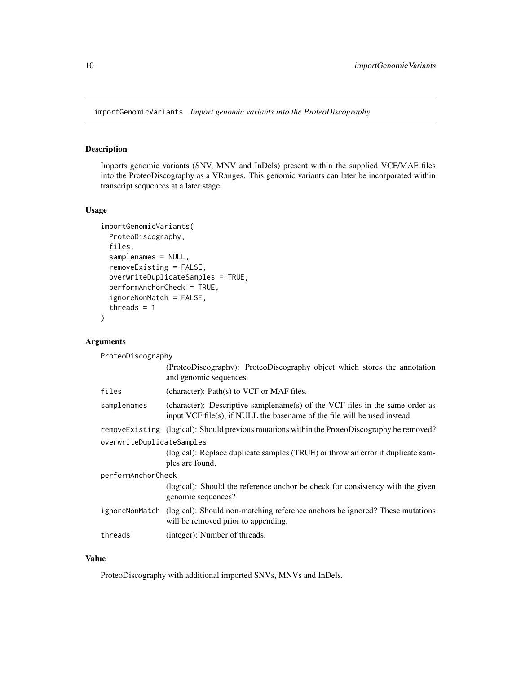<span id="page-9-0"></span>importGenomicVariants *Import genomic variants into the ProteoDiscography*

# Description

Imports genomic variants (SNV, MNV and InDels) present within the supplied VCF/MAF files into the ProteoDiscography as a VRanges. This genomic variants can later be incorporated within transcript sequences at a later stage.

# Usage

```
importGenomicVariants(
 ProteoDiscography,
 files,
  samplenames = NULL,
  removeExisting = FALSE,
 overwriteDuplicateSamples = TRUE,
  performAnchorCheck = TRUE,
  ignoreNonMatch = FALSE,
  threads = 1)
```
# Arguments

| ProteoDiscography         |                                                                                                                                                           |  |
|---------------------------|-----------------------------------------------------------------------------------------------------------------------------------------------------------|--|
|                           | (ProteoDiscography): ProteoDiscography object which stores the annotation<br>and genomic sequences.                                                       |  |
| files                     | (character): Path(s) to VCF or MAF files.                                                                                                                 |  |
| samplenames               | (character): Descriptive samplename(s) of the VCF files in the same order as<br>input VCF file(s), if NULL the basename of the file will be used instead. |  |
|                           | removeExisting (logical): Should previous mutations within the ProteoDiscography be removed?                                                              |  |
| overwriteDuplicateSamples |                                                                                                                                                           |  |
|                           | (logical): Replace duplicate samples (TRUE) or throw an error if duplicate sam-<br>ples are found.                                                        |  |
| performAnchorCheck        |                                                                                                                                                           |  |
|                           | (logical): Should the reference anchor be check for consistency with the given<br>genomic sequences?                                                      |  |
|                           | ignoreNonMatch (logical): Should non-matching reference anchors be ignored? These mutations<br>will be removed prior to appending.                        |  |
| threads                   | (integer): Number of threads.                                                                                                                             |  |

# Value

ProteoDiscography with additional imported SNVs, MNVs and InDels.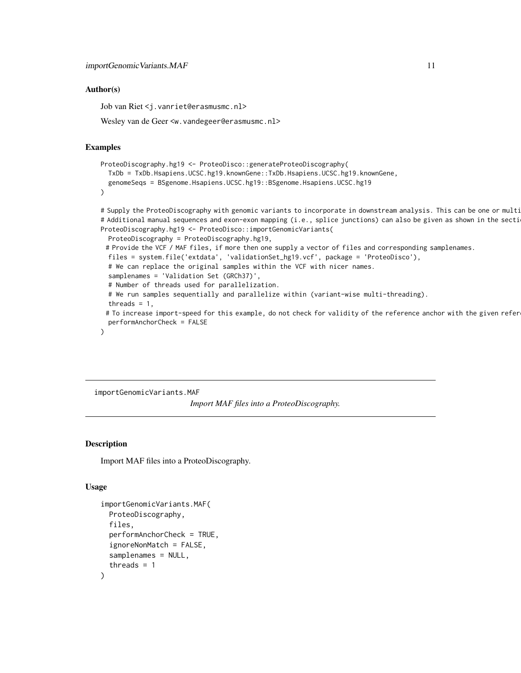#### <span id="page-10-0"></span>Author(s)

Job van Riet <j.vanriet@erasmusmc.nl>

Wesley van de Geer <w. vandegeer@erasmusmc.nl>

#### Examples

```
ProteoDiscography.hg19 <- ProteoDisco::generateProteoDiscography(
 TxDb = TxDb.Hsapiens.UCSC.hg19.knownGene::TxDb.Hsapiens.UCSC.hg19.knownGene,
 genomeSeqs = BSgenome.Hsapiens.UCSC.hg19::BSgenome.Hsapiens.UCSC.hg19
\mathcal{L}# Supply the ProteoDiscography with genomic variants to incorporate in downstream analysis. This can be one or multi
# Additional manual sequences and exon-exon mapping (i.e., splice junctions) can also be given as shown in the secti
ProteoDiscography.hg19 <- ProteoDisco::importGenomicVariants(
 ProteoDiscography = ProteoDiscography.hg19,
 # Provide the VCF / MAF files, if more then one supply a vector of files and corresponding samplenames.
 files = system.file('extdata', 'validationSet_hg19.vcf', package = 'ProteoDisco'),
 # We can replace the original samples within the VCF with nicer names.
```
samplenames = 'Validation Set (GRCh37)',

```
# Number of threads used for parallelization.
```
# We run samples sequentially and parallelize within (variant-wise multi-threading).

```
threads = 1,
```
# To increase import-speed for this example, do not check for validity of the reference anchor with the given refer performAnchorCheck = FALSE

importGenomicVariants.MAF *Import MAF files into a ProteoDiscography.*

#### Description

 $\lambda$ 

Import MAF files into a ProteoDiscography.

## Usage

```
importGenomicVariants.MAF(
 ProteoDiscography,
  files,
  performAnchorCheck = TRUE,
  ignoreNonMatch = FALSE,
  samplenames = NULL,
  threads = 1)
```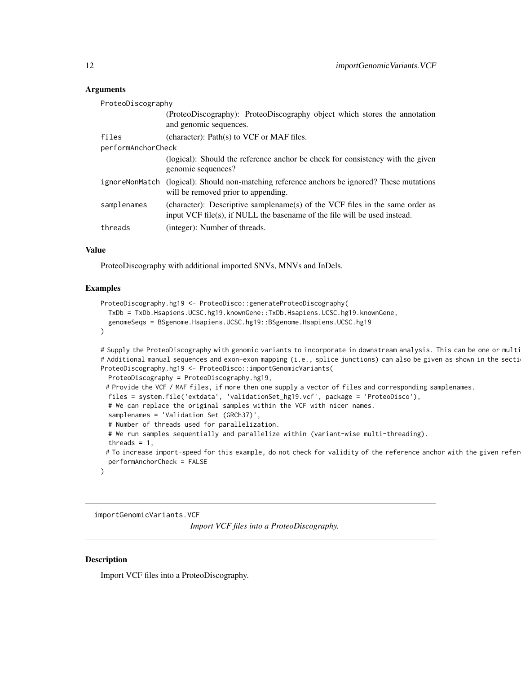# <span id="page-11-0"></span>Arguments

| ProteoDiscography  |                                                                                                                                                           |
|--------------------|-----------------------------------------------------------------------------------------------------------------------------------------------------------|
|                    | (ProteoDiscography): ProteoDiscography object which stores the annotation<br>and genomic sequences.                                                       |
| files              | (character): $Path(s)$ to VCF or MAF files.                                                                                                               |
| performAnchorCheck |                                                                                                                                                           |
|                    | (logical): Should the reference anchor be check for consistency with the given<br>genomic sequences?                                                      |
| ignoreNonMatch     | (logical): Should non-matching reference anchors be ignored? These mutations<br>will be removed prior to appending.                                       |
| samplenames        | (character): Descriptive samplename(s) of the VCF files in the same order as<br>input VCF file(s), if NULL the basename of the file will be used instead. |
| threads            | (integer): Number of threads.                                                                                                                             |

# Value

ProteoDiscography with additional imported SNVs, MNVs and InDels.

# Examples

```
ProteoDiscography.hg19 <- ProteoDisco::generateProteoDiscography(
 TxDb = TxDb.Hsapiens.UCSC.hg19.knownGene::TxDb.Hsapiens.UCSC.hg19.knownGene,
 genomeSeqs = BSgenome.Hsapiens.UCSC.hg19::BSgenome.Hsapiens.UCSC.hg19
)
```
# Supply the ProteoDiscography with genomic variants to incorporate in downstream analysis. This can be one or multi # Additional manual sequences and exon-exon mapping (i.e., splice junctions) can also be given as shown in the secti ProteoDiscography.hg19 <- ProteoDisco::importGenomicVariants(

```
ProteoDiscography = ProteoDiscography.hg19,
# Provide the VCF / MAF files, if more then one supply a vector of files and corresponding samplenames.
files = system.file('extdata', 'validationSet_hg19.vcf', package = 'ProteoDisco'),
# We can replace the original samples within the VCF with nicer names.
samplenames = 'Validation Set (GRCh37)',
# Number of threads used for parallelization.
# We run samples sequentially and parallelize within (variant-wise multi-threading).
threads = 1,
# To increase import-speed for this example, do not check for validity of the reference anchor with the given refer
performAnchorCheck = FALSE
```
importGenomicVariants.VCF

*Import VCF files into a ProteoDiscography.*

# **Description**

)

Import VCF files into a ProteoDiscography.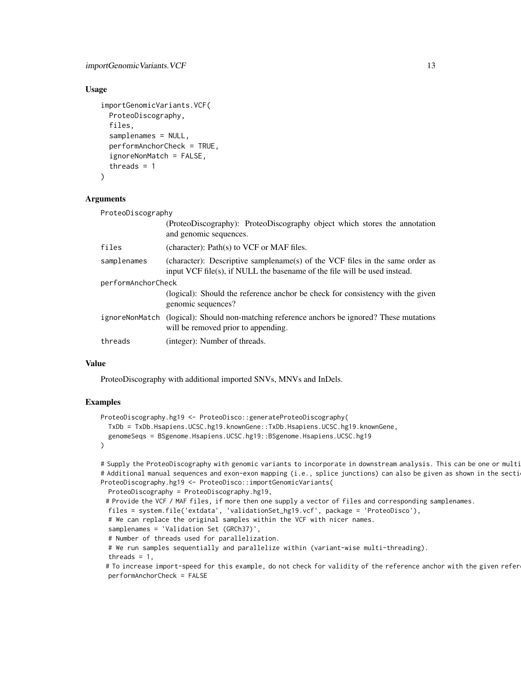# Usage

```
importGenomicVariants.VCF(
 ProteoDiscography,
  files,
  samplenames = NULL,
  performAnchorCheck = TRUE,
  ignoreNonMatch = FALSE,
  threads = 1)
```
#### Arguments

| ProteoDiscography  |                                                                                                                                                           |  |
|--------------------|-----------------------------------------------------------------------------------------------------------------------------------------------------------|--|
|                    | (ProteoDiscography): ProteoDiscography object which stores the annotation<br>and genomic sequences.                                                       |  |
| files              | (character): Path(s) to VCF or MAF files.                                                                                                                 |  |
| samplenames        | (character): Descriptive samplename(s) of the VCF files in the same order as<br>input VCF file(s), if NULL the basename of the file will be used instead. |  |
| performAnchorCheck |                                                                                                                                                           |  |
|                    | (logical): Should the reference anchor be check for consistency with the given<br>genomic sequences?                                                      |  |
|                    | ignoreNonMatch (logical): Should non-matching reference anchors be ignored? These mutations<br>will be removed prior to appending.                        |  |
| threads            | (integer): Number of threads.                                                                                                                             |  |

# Value

ProteoDiscography with additional imported SNVs, MNVs and InDels.

# Examples

```
ProteoDiscography.hg19 <- ProteoDisco::generateProteoDiscography(
 TxDb = TxDb.Hsapiens.UCSC.hg19.knownGene::TxDb.Hsapiens.UCSC.hg19.knownGene,
 genomeSeqs = BSgenome.Hsapiens.UCSC.hg19::BSgenome.Hsapiens.UCSC.hg19
)
```
# Supply the ProteoDiscography with genomic variants to incorporate in downstream analysis. This can be one or multi # Additional manual sequences and exon-exon mapping (i.e., splice junctions) can also be given as shown in the secti ProteoDiscography.hg19 <- ProteoDisco::importGenomicVariants(

```
ProteoDiscography = ProteoDiscography.hg19,
# Provide the VCF / MAF files, if more then one supply a vector of files and corresponding samplenames.
files = system.file('extdata', 'validationSet_hg19.vcf', package = 'ProteoDisco'),
# We can replace the original samples within the VCF with nicer names.
samplenames = 'Validation Set (GRCh37)',
# Number of threads used for parallelization.
# We run samples sequentially and parallelize within (variant-wise multi-threading).
threads = 1,
# To increase import-speed for this example, do not check for validity of the reference anchor with the given refer
performAnchorCheck = FALSE
```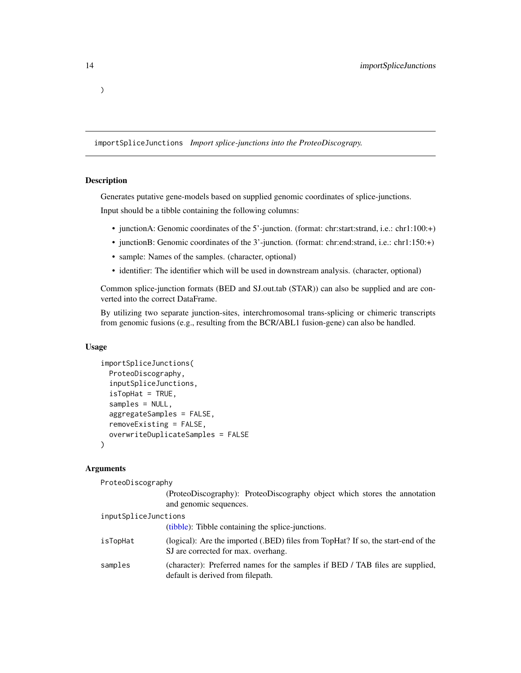<span id="page-13-0"></span>)

importSpliceJunctions *Import splice-junctions into the ProteoDiscograpy.*

#### Description

Generates putative gene-models based on supplied genomic coordinates of splice-junctions. Input should be a tibble containing the following columns:

- junctionA: Genomic coordinates of the 5'-junction. (format: chr:start:strand, i.e.: chr1:100:+)
- junctionB: Genomic coordinates of the 3'-junction. (format: chr:end:strand, i.e.: chr1:150:+)
- sample: Names of the samples. (character, optional)
- identifier: The identifier which will be used in downstream analysis. (character, optional)

Common splice-junction formats (BED and SJ.out.tab (STAR)) can also be supplied and are converted into the correct DataFrame.

By utilizing two separate junction-sites, interchromosomal trans-splicing or chimeric transcripts from genomic fusions (e.g., resulting from the BCR/ABL1 fusion-gene) can also be handled.

# Usage

```
importSpliceJunctions(
 ProteoDiscography,
  inputSpliceJunctions,
  isTopHat = TRUE,samples = NULL,
  aggregateSamples = FALSE,
  removeExisting = FALSE,
  overwriteDuplicateSamples = FALSE
)
```
# Arguments

ProteoDiscography

(ProteoDiscography): ProteoDiscography object which stores the annotation and genomic sequences.

```
inputSpliceJunctions
                 (tibble): Tibble containing the splice-junctions.
isTopHat (logical): Are the imported (.BED) files from TopHat? If so, the start-end of the
                 SJ are corrected for max. overhang.
samples (character): Preferred names for the samples if BED / TAB files are supplied,
                 default is derived from filepath.
```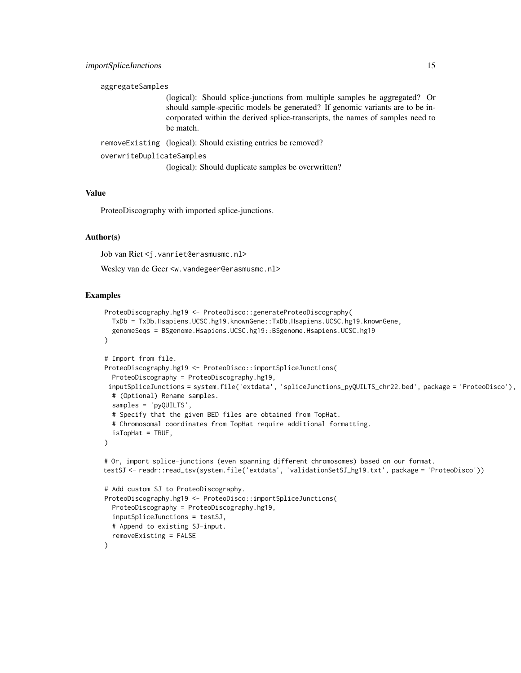```
aggregateSamples
```
(logical): Should splice-junctions from multiple samples be aggregated? Or should sample-specific models be generated? If genomic variants are to be incorporated within the derived splice-transcripts, the names of samples need to be match.

removeExisting (logical): Should existing entries be removed?

```
overwriteDuplicateSamples
```
(logical): Should duplicate samples be overwritten?

# Value

ProteoDiscography with imported splice-junctions.

# Author(s)

Job van Riet <j.vanriet@erasmusmc.nl>

Wesley van de Geer <w.vandegeer@erasmusmc.nl>

```
ProteoDiscography.hg19 <- ProteoDisco::generateProteoDiscography(
  TxDb = TxDb.Hsapiens.UCSC.hg19.knownGene::TxDb.Hsapiens.UCSC.hg19.knownGene,
  genomeSeqs = BSgenome.Hsapiens.UCSC.hg19::BSgenome.Hsapiens.UCSC.hg19
)
# Import from file.
ProteoDiscography.hg19 <- ProteoDisco::importSpliceJunctions(
  ProteoDiscography = ProteoDiscography.hg19,
 inputSpliceJunctions = system.file('extdata', 'spliceJunctions_pyQUILTS_chr22.bed', package = 'ProteoDisco'),
  # (Optional) Rename samples.
  samples = 'pyQUILTS',
  # Specify that the given BED files are obtained from TopHat.
  # Chromosomal coordinates from TopHat require additional formatting.
  isTopHat = TRUE,
\lambda# Or, import splice-junctions (even spanning different chromosomes) based on our format.
testSJ <- readr::read_tsv(system.file('extdata', 'validationSetSJ_hg19.txt', package = 'ProteoDisco'))
# Add custom SJ to ProteoDiscography.
ProteoDiscography.hg19 <- ProteoDisco::importSpliceJunctions(
  ProteoDiscography = ProteoDiscography.hg19,
  inputSpliceJunctions = testSJ,
  # Append to existing SJ-input.
  removeExisting = FALSE
)
```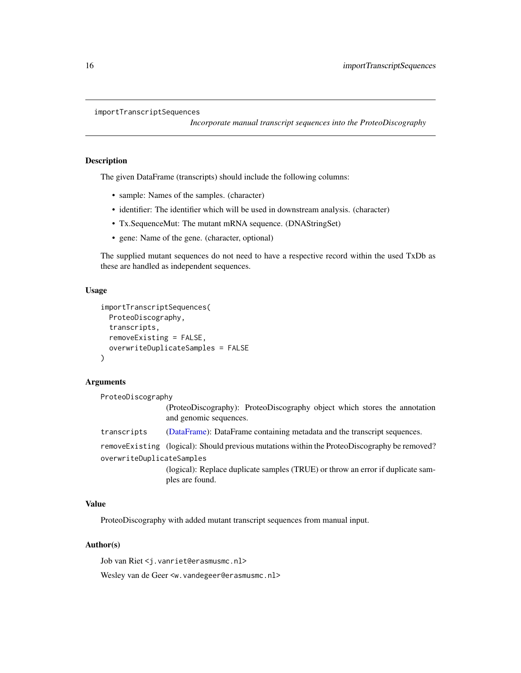```
importTranscriptSequences
```
*Incorporate manual transcript sequences into the ProteoDiscography*

#### Description

The given DataFrame (transcripts) should include the following columns:

- sample: Names of the samples. (character)
- identifier: The identifier which will be used in downstream analysis. (character)
- Tx.SequenceMut: The mutant mRNA sequence. (DNAStringSet)
- gene: Name of the gene. (character, optional)

The supplied mutant sequences do not need to have a respective record within the used TxDb as these are handled as independent sequences.

# Usage

```
importTranscriptSequences(
 ProteoDiscography,
  transcripts,
  removeExisting = FALSE,
  overwriteDuplicateSamples = FALSE
)
```
## Arguments

ProteoDiscography (ProteoDiscography): ProteoDiscography object which stores the annotation and genomic sequences. transcripts [\(DataFrame\)](#page-0-0): DataFrame containing metadata and the transcript sequences. removeExisting (logical): Should previous mutations within the ProteoDiscography be removed? overwriteDuplicateSamples (logical): Replace duplicate samples (TRUE) or throw an error if duplicate samples are found.

# Value

ProteoDiscography with added mutant transcript sequences from manual input.

# Author(s)

Job van Riet <j.vanriet@erasmusmc.nl> Wesley van de Geer <w. vandegeer@erasmusmc.nl>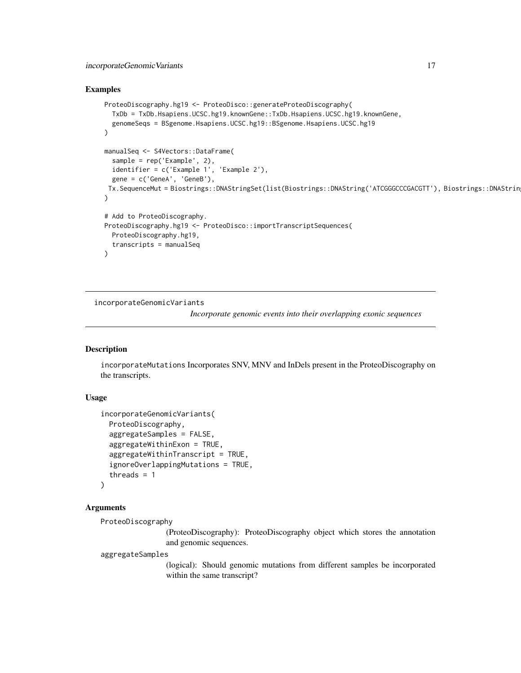# <span id="page-16-0"></span>Examples

```
ProteoDiscography.hg19 <- ProteoDisco::generateProteoDiscography(
  TxDb = TxDb.Hsapiens.UCSC.hg19.knownGene::TxDb.Hsapiens.UCSC.hg19.knownGene,
  genomeSeqs = BSgenome.Hsapiens.UCSC.hg19::BSgenome.Hsapiens.UCSC.hg19
\lambdamanualSeq <- S4Vectors::DataFrame(
  sample = rep('Example', 2),
  identifier = c('Example 1', 'Example 2'),
  gene = c('GeneA', 'GeneB'),
 Tx.SequenceMut = Biostrings::DNAStringSet(list(Biostrings::DNAString('ATCGGGCCCGACGTT'), Biostrings::DNAStrin
)
# Add to ProteoDiscography.
ProteoDiscography.hg19 <- ProteoDisco::importTranscriptSequences(
  ProteoDiscography.hg19,
  transcripts = manualSeq
)
```
incorporateGenomicVariants

*Incorporate genomic events into their overlapping exonic sequences*

# Description

incorporateMutations Incorporates SNV, MNV and InDels present in the ProteoDiscography on the transcripts.

# Usage

```
incorporateGenomicVariants(
  ProteoDiscography,
  aggregateSamples = FALSE,
  aggregateWithinExon = TRUE,
  aggregateWithinTranscript = TRUE,
  ignoreOverlappingMutations = TRUE,
  threads = 1)
```
# Arguments

```
ProteoDiscography
```
(ProteoDiscography): ProteoDiscography object which stores the annotation and genomic sequences.

aggregateSamples

(logical): Should genomic mutations from different samples be incorporated within the same transcript?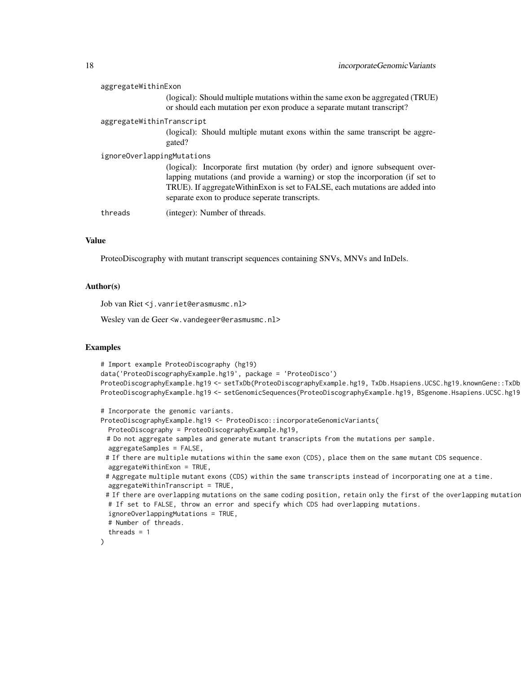| aggregateWithinExon        |                                                                                                                                                                                                                                                                                                    |
|----------------------------|----------------------------------------------------------------------------------------------------------------------------------------------------------------------------------------------------------------------------------------------------------------------------------------------------|
|                            | (logical): Should multiple mutations within the same exon be aggregated (TRUE)<br>or should each mutation per exon produce a separate mutant transcript?                                                                                                                                           |
| aggregateWithinTranscript  |                                                                                                                                                                                                                                                                                                    |
|                            | (logical): Should multiple mutant exons within the same transcript be aggre-<br>gated?                                                                                                                                                                                                             |
| ignoreOverlappingMutations |                                                                                                                                                                                                                                                                                                    |
|                            | (logical): Incorporate first mutation (by order) and ignore subsequent over-<br>lapping mutations (and provide a warning) or stop the incorporation (if set to<br>TRUE). If aggregate Within Exon is set to FALSE, each mutations are added into<br>separate exon to produce seperate transcripts. |
| threads                    | (integer): Number of threads.                                                                                                                                                                                                                                                                      |

# Value

ProteoDiscography with mutant transcript sequences containing SNVs, MNVs and InDels.

# Author(s)

Job van Riet <j.vanriet@erasmusmc.nl>

Wesley van de Geer <w.vandegeer@erasmusmc.nl>

```
# Import example ProteoDiscography (hg19)
data('ProteoDiscographyExample.hg19', package = 'ProteoDisco')
ProteoDiscographyExample.hg19 <- setTxDb(ProteoDiscographyExample.hg19, TxDb.Hsapiens.UCSC.hg19.knownGene::TxDb.Hsapiens.UCSC.hg19.knownGene)
ProteoDiscographyExample.hg19 <- setGenomicSequences(ProteoDiscographyExample.hg19, BSgenome.Hsapiens.UCSC.hg19
# Incorporate the genomic variants.
ProteoDiscographyExample.hg19 <- ProteoDisco::incorporateGenomicVariants(
 ProteoDiscography = ProteoDiscographyExample.hg19,
 # Do not aggregate samples and generate mutant transcripts from the mutations per sample.
 aggregateSamples = FALSE,
 # If there are multiple mutations within the same exon (CDS), place them on the same mutant CDS sequence.
 aggregateWithinExon = TRUE,
 # Aggregate multiple mutant exons (CDS) within the same transcripts instead of incorporating one at a time.
 aggregateWithinTranscript = TRUE,
 # If there are overlapping mutations on the same coding position, retain only the first of the overlapping mutation
 # If set to FALSE, throw an error and specify which CDS had overlapping mutations.
 ignoreOverlappingMutations = TRUE,
 # Number of threads.
```

```
threads = 1
```

```
\mathcal{L}
```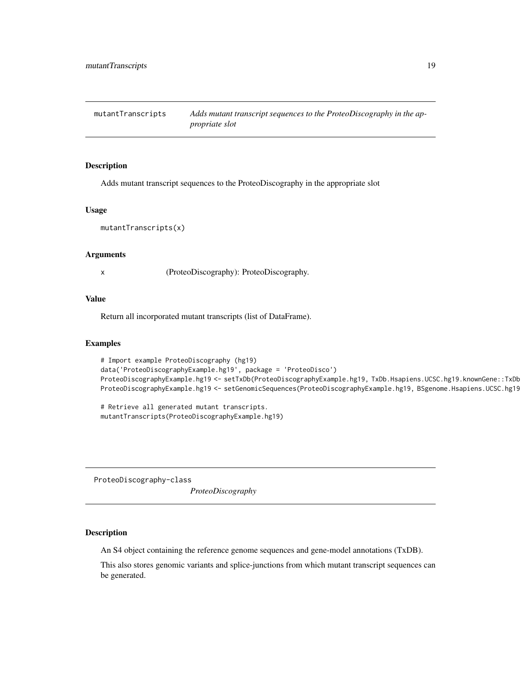<span id="page-18-0"></span>mutantTranscripts *Adds mutant transcript sequences to the ProteoDiscography in the appropriate slot*

#### Description

Adds mutant transcript sequences to the ProteoDiscography in the appropriate slot

#### Usage

mutantTranscripts(x)

#### Arguments

x (ProteoDiscography): ProteoDiscography.

# Value

Return all incorporated mutant transcripts (list of DataFrame).

#### Examples

```
# Import example ProteoDiscography (hg19)
data('ProteoDiscographyExample.hg19', package = 'ProteoDisco')
ProteoDiscographyExample.hg19 <- setTxDb(ProteoDiscographyExample.hg19, TxDb.Hsapiens.UCSC.hg19.knownGene::TxDb.Hsapiens.UCSC.hg19.knownGene)
ProteoDiscographyExample.hg19 <- setGenomicSequences(ProteoDiscographyExample.hg19, BSgenome.Hsapiens.UCSC.hg19
```
# Retrieve all generated mutant transcripts. mutantTranscripts(ProteoDiscographyExample.hg19)

ProteoDiscography-class

*ProteoDiscography*

# Description

An S4 object containing the reference genome sequences and gene-model annotations (TxDB).

This also stores genomic variants and splice-junctions from which mutant transcript sequences can be generated.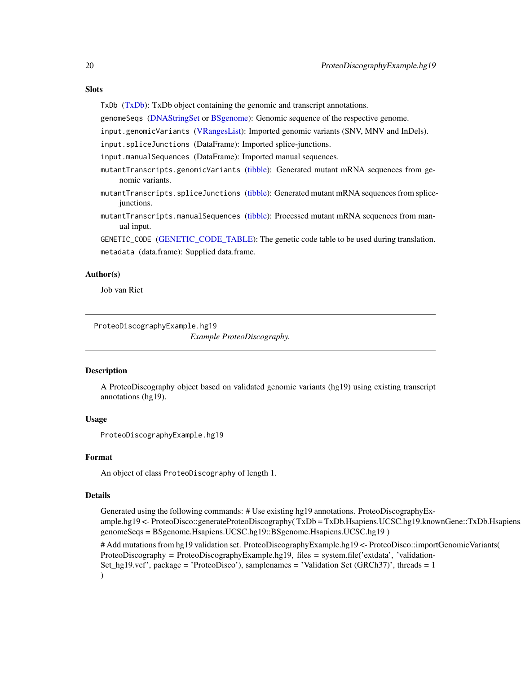#### <span id="page-19-0"></span>**Slots**

TxDb [\(TxDb\)](#page-0-0): TxDb object containing the genomic and transcript annotations.

genomeSeqs [\(DNAStringSet](#page-0-0) or [BSgenome\)](#page-0-0): Genomic sequence of the respective genome.

input.genomicVariants [\(VRangesList\)](#page-0-0): Imported genomic variants (SNV, MNV and InDels).

input.spliceJunctions (DataFrame): Imported splice-junctions.

input.manualSequences (DataFrame): Imported manual sequences.

- mutantTranscripts.genomicVariants [\(tibble\)](#page-0-0): Generated mutant mRNA sequences from genomic variants.
- mutantTranscripts.spliceJunctions [\(tibble\)](#page-0-0): Generated mutant mRNA sequences from splicejunctions.
- mutantTranscripts.manualSequences [\(tibble\)](#page-0-0): Processed mutant mRNA sequences from manual input.

GENETIC\_CODE [\(GENETIC\\_CODE\\_TABLE\)](#page-0-0): The genetic code table to be used during translation. metadata (data.frame): Supplied data.frame.

# Author(s)

Job van Riet

ProteoDiscographyExample.hg19

*Example ProteoDiscography.*

#### **Description**

A ProteoDiscography object based on validated genomic variants (hg19) using existing transcript annotations (hg19).

# Usage

ProteoDiscographyExample.hg19

#### Format

An object of class ProteoDiscography of length 1.

#### Details

Generated using the following commands: # Use existing hg19 annotations. ProteoDiscographyExample.hg19 <- ProteoDisco::generateProteoDiscography(TxDb = TxDb.Hsapiens.UCSC.hg19.knownGene::TxDb.Hsapiens genomeSeqs = BSgenome.Hsapiens.UCSC.hg19::BSgenome.Hsapiens.UCSC.hg19 )

# Add mutations from hg19 validation set. ProteoDiscographyExample.hg19 <- ProteoDisco::importGenomicVariants( ProteoDiscography = ProteoDiscographyExample.hg19, files = system.file('extdata', 'validation-Set\_hg19.vcf', package = 'ProteoDisco'), samplenames = 'Validation Set (GRCh37)', threads = 1 )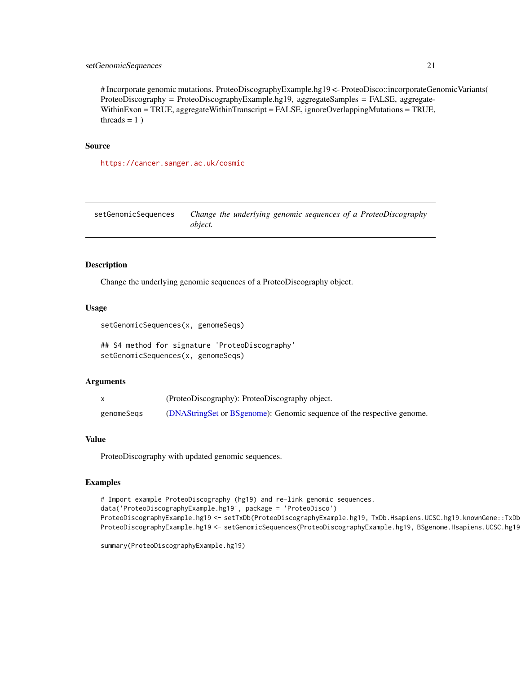# <span id="page-20-0"></span>setGenomicSequences 21

# Incorporate genomic mutations. ProteoDiscographyExample.hg19 <- ProteoDisco::incorporateGenomicVariants( ProteoDiscography = ProteoDiscographyExample.hg19, aggregateSamples = FALSE, aggregate-WithinExon = TRUE, aggregateWithinTranscript = FALSE, ignoreOverlappingMutations = TRUE, threads  $= 1$ )

## Source

<https://cancer.sanger.ac.uk/cosmic>

setGenomicSequences *Change the underlying genomic sequences of a ProteoDiscography object.*

#### Description

Change the underlying genomic sequences of a ProteoDiscography object.

#### Usage

setGenomicSequences(x, genomeSeqs)

## S4 method for signature 'ProteoDiscography' setGenomicSequences(x, genomeSeqs)

#### Arguments

|            | (ProteoDiscography): ProteoDiscography object.                         |
|------------|------------------------------------------------------------------------|
| genomeSegs | (DNAStringSet or BSgenome): Genomic sequence of the respective genome. |

#### Value

ProteoDiscography with updated genomic sequences.

```
# Import example ProteoDiscography (hg19) and re-link genomic sequences.
data('ProteoDiscographyExample.hg19', package = 'ProteoDisco')
ProteoDiscographyExample.hg19 <- setTxDb(ProteoDiscographyExample.hg19, TxDb.Hsapiens.UCSC.hg19.knownGene::TxDb
ProteoDiscographyExample.hg19 <- setGenomicSequences(ProteoDiscographyExample.hg19, BSgenome.Hsapiens.UCSC.hg19
```

```
summary(ProteoDiscographyExample.hg19)
```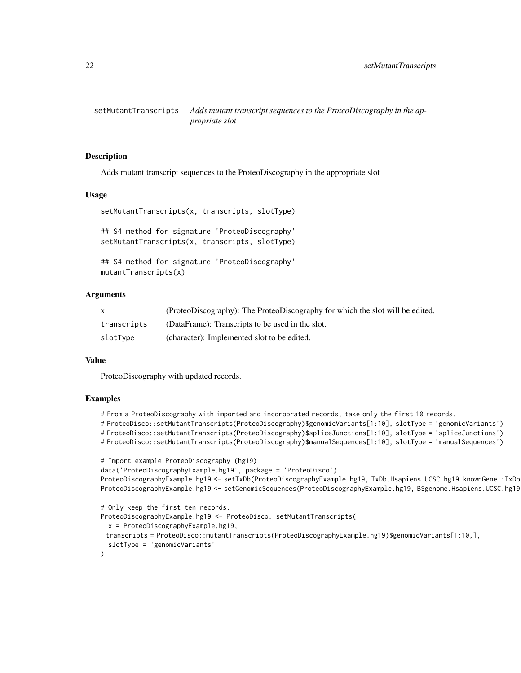<span id="page-21-0"></span>setMutantTranscripts *Adds mutant transcript sequences to the ProteoDiscography in the appropriate slot*

# **Description**

Adds mutant transcript sequences to the ProteoDiscography in the appropriate slot

# Usage

```
setMutantTranscripts(x, transcripts, slotType)
## S4 method for signature 'ProteoDiscography'
setMutantTranscripts(x, transcripts, slotType)
## S4 method for signature 'ProteoDiscography'
```
mutantTranscripts(x)

# Arguments

|             | (ProteoDiscography): The ProteoDiscography for which the slot will be edited. |
|-------------|-------------------------------------------------------------------------------|
| transcripts | (DataFrame): Transcripts to be used in the slot.                              |
| slotType    | (character): Implemented slot to be edited.                                   |

#### Value

ProteoDiscography with updated records.

```
# From a ProteoDiscography with imported and incorporated records, take only the first 10 records.
# ProteoDisco::setMutantTranscripts(ProteoDiscography)$genomicVariants[1:10], slotType = 'genomicVariants')
# ProteoDisco::setMutantTranscripts(ProteoDiscography)$spliceJunctions[1:10], slotType = 'spliceJunctions')
# ProteoDisco::setMutantTranscripts(ProteoDiscography)$manualSequences[1:10], slotType = 'manualSequences')
# Import example ProteoDiscography (hg19)
data('ProteoDiscographyExample.hg19', package = 'ProteoDisco')
ProteoDiscographyExample.hg19 <- setTxDb(ProteoDiscographyExample.hg19, TxDb.Hsapiens.UCSC.hg19.knownGene::TxDb
ProteoDiscographyExample.hg19 <- setGenomicSequences(ProteoDiscographyExample.hg19, BSgenome.Hsapiens.UCSC.hg19
# Only keep the first ten records.
ProteoDiscographyExample.hg19 <- ProteoDisco::setMutantTranscripts(
 x = ProteoDiscographyExample.hg19,
 transcripts = ProteoDisco::mutantTranscripts(ProteoDiscographyExample.hg19)$genomicVariants[1:10,],
 slotType = 'genomicVariants'
```
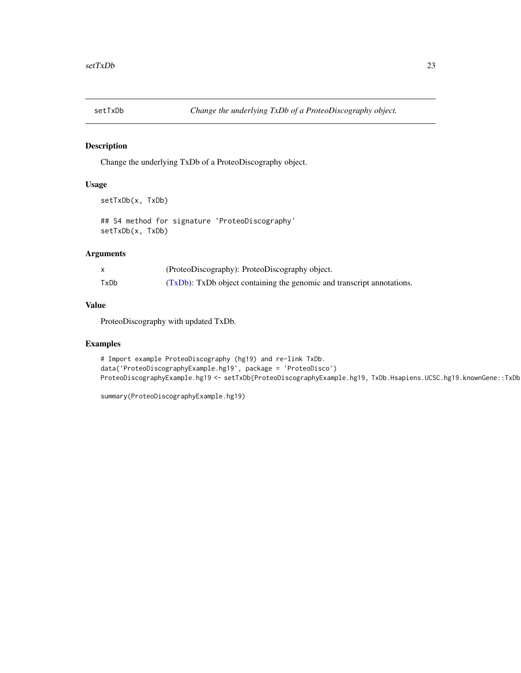<span id="page-22-0"></span>

# Description

Change the underlying TxDb of a ProteoDiscography object.

# Usage

```
setTxDb(x, TxDb)
```
## S4 method for signature 'ProteoDiscography' setTxDb(x, TxDb)

# Arguments

|      | (ProteoDiscography): ProteoDiscography object.                            |
|------|---------------------------------------------------------------------------|
| TxDb | $(TxDb)$ : TxDb object containing the genomic and transcript annotations. |

# Value

ProteoDiscography with updated TxDb.

```
# Import example ProteoDiscography (hg19) and re-link TxDb.
data('ProteoDiscographyExample.hg19', package = 'ProteoDisco')
ProteoDiscographyExample.hg19 <- setTxDb(ProteoDiscographyExample.hg19, TxDb.Hsapiens.UCSC.hg19.knownGene::TxDb
```

```
summary(ProteoDiscographyExample.hg19)
```